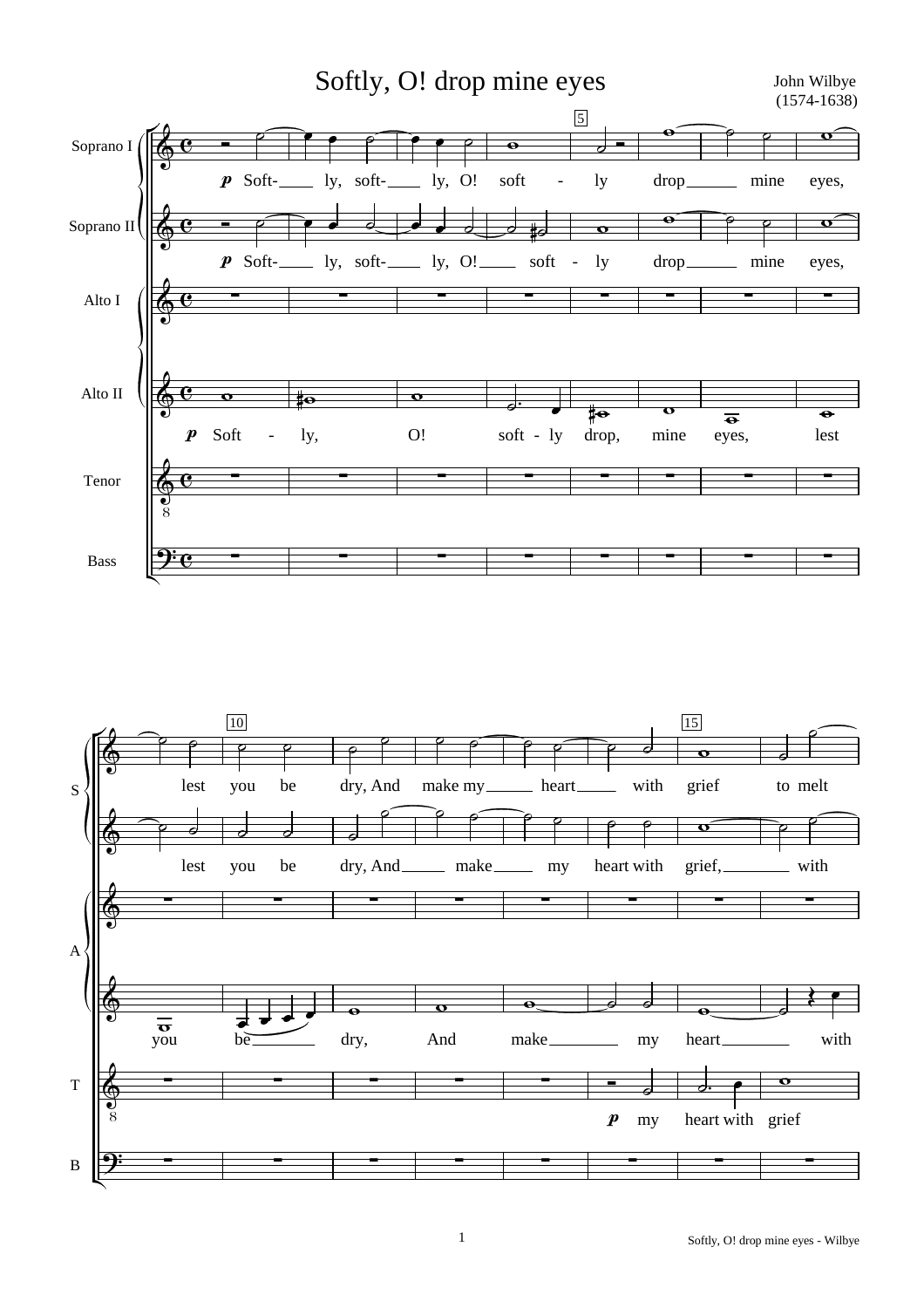

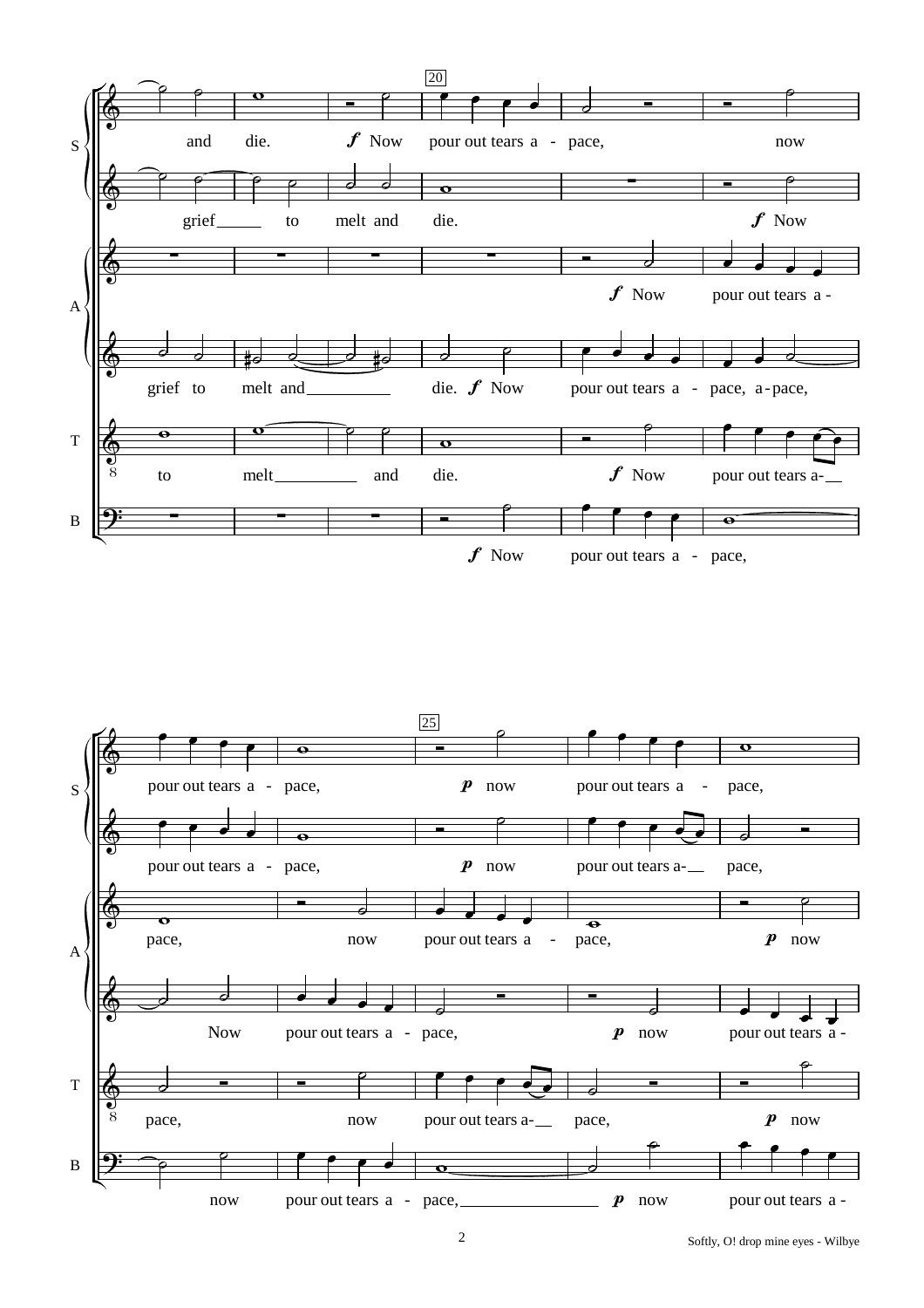

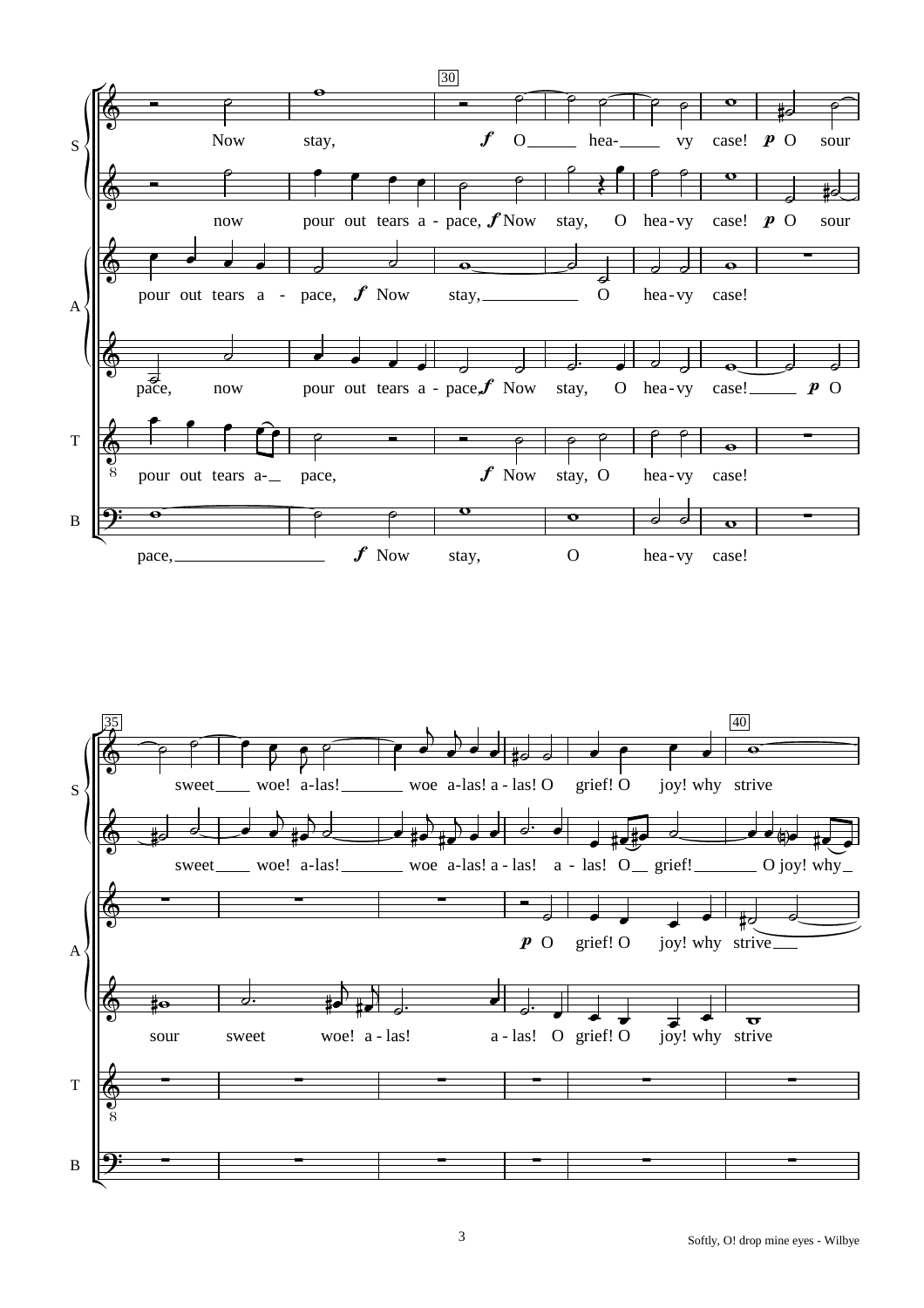

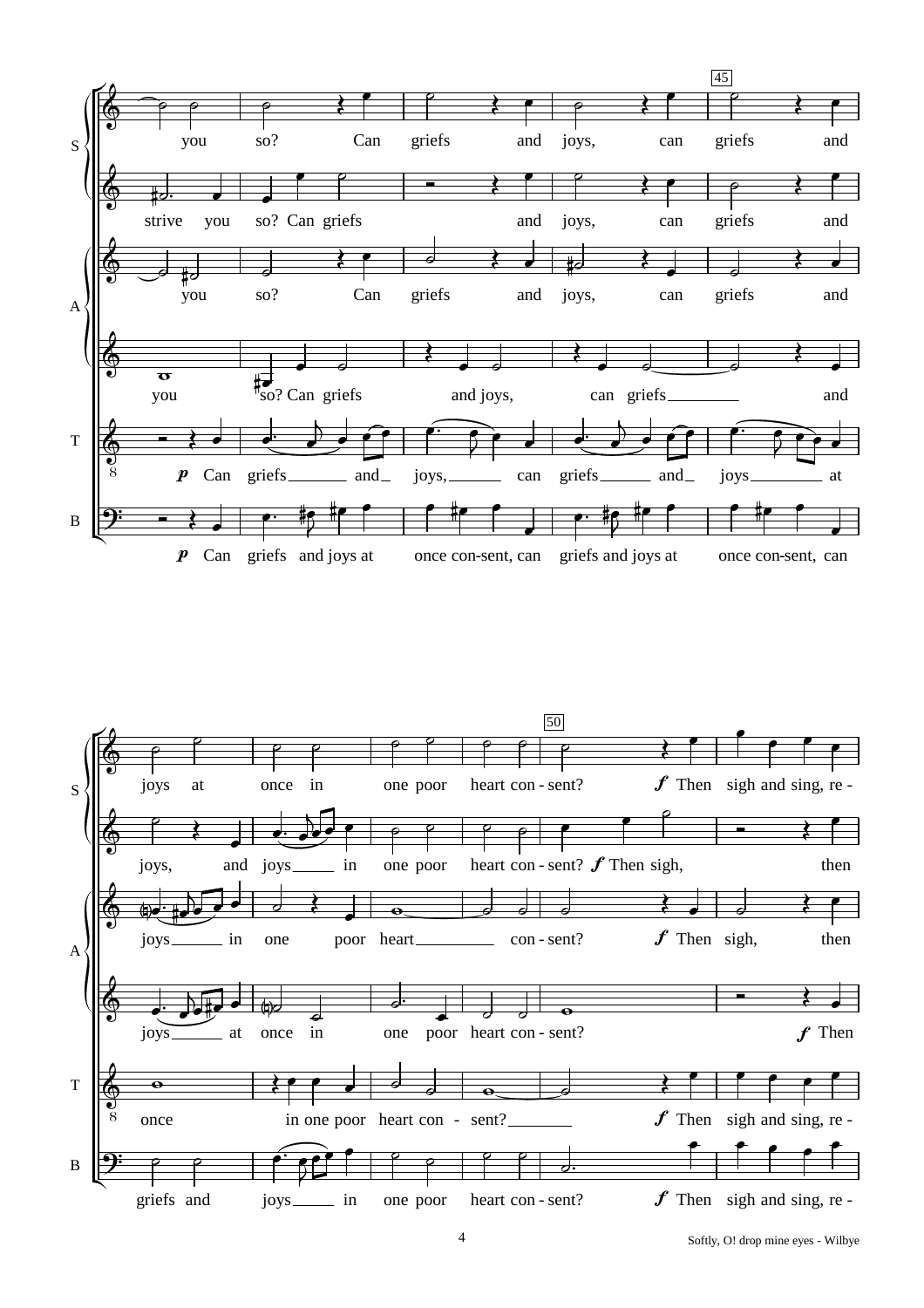

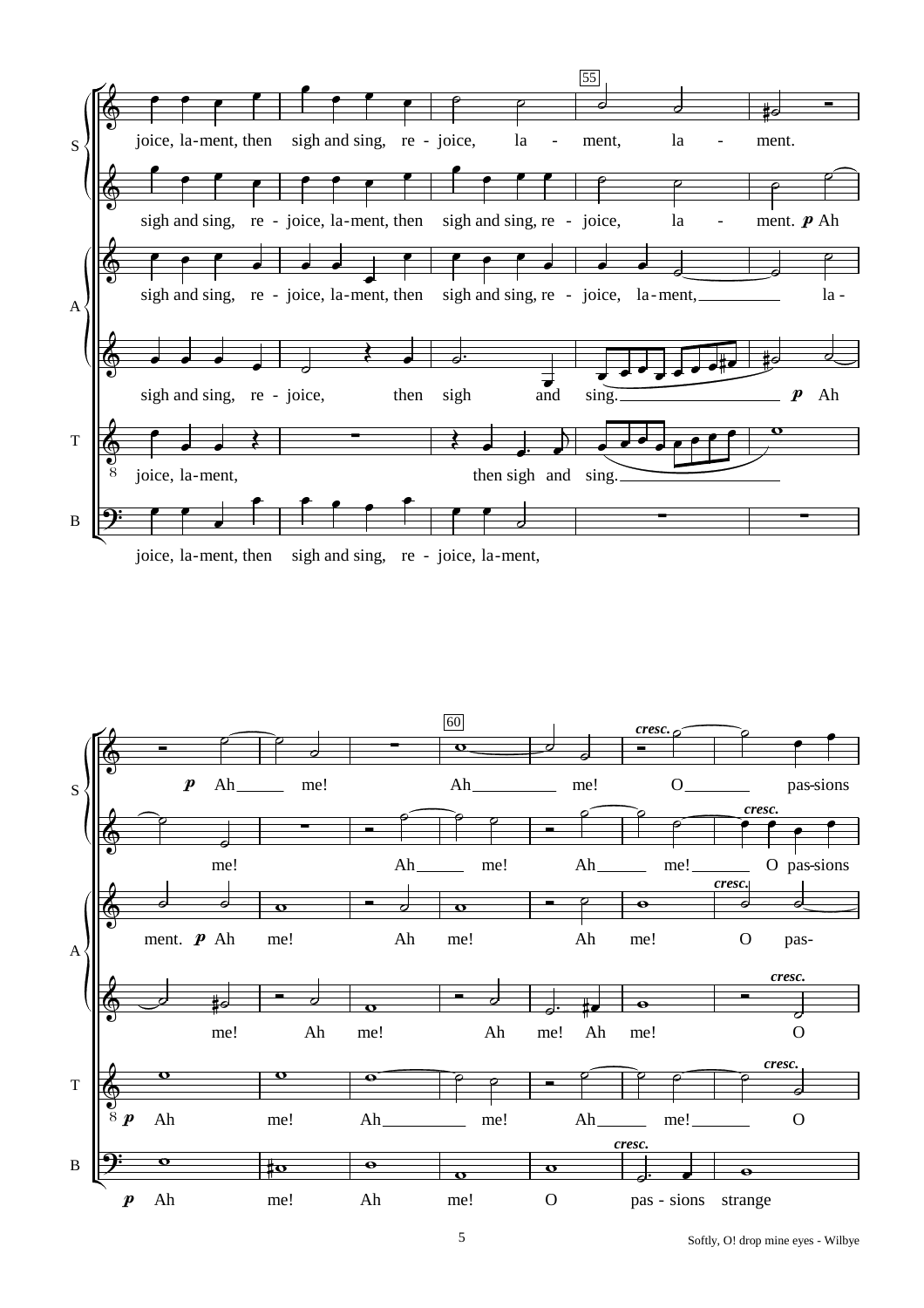



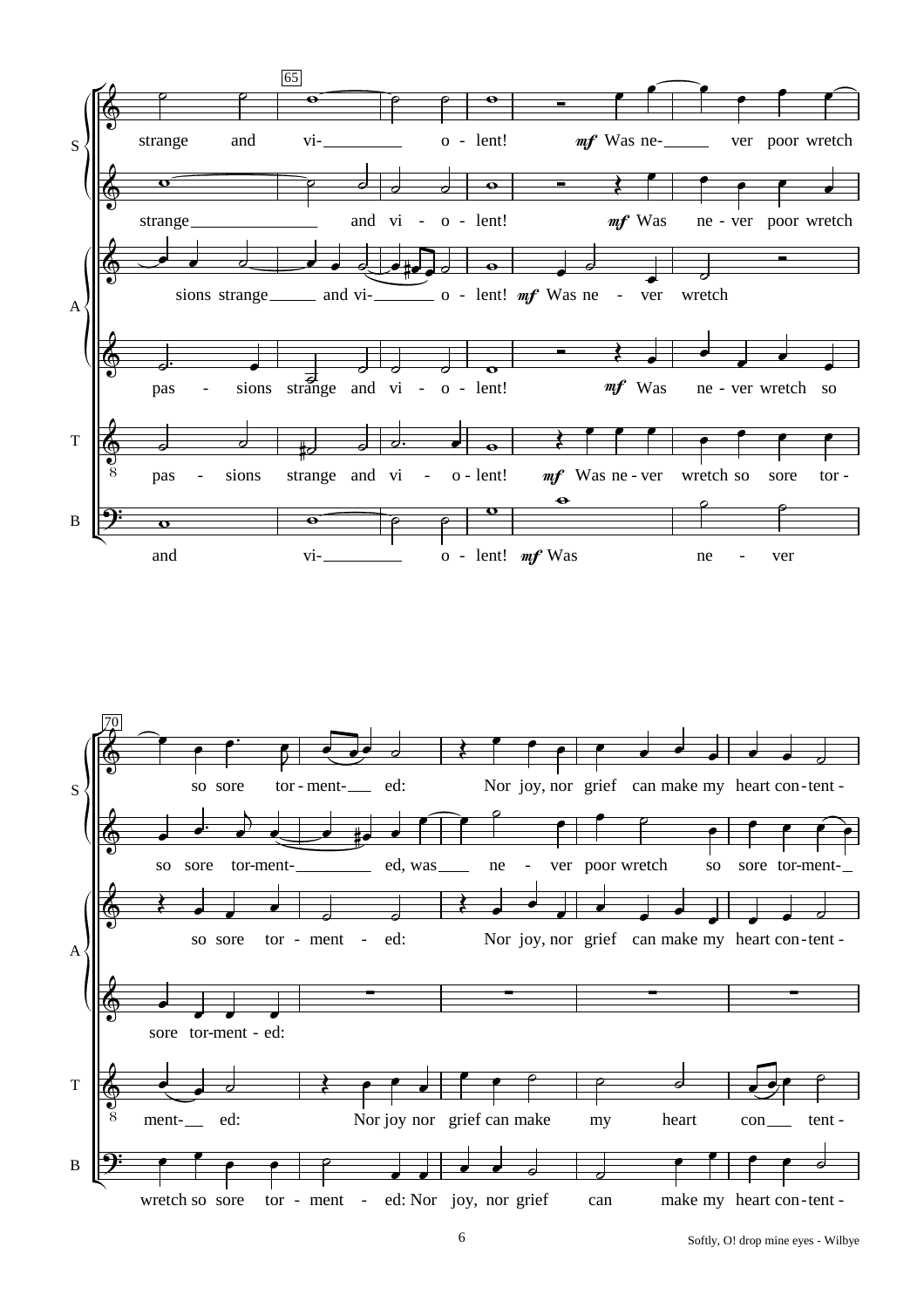

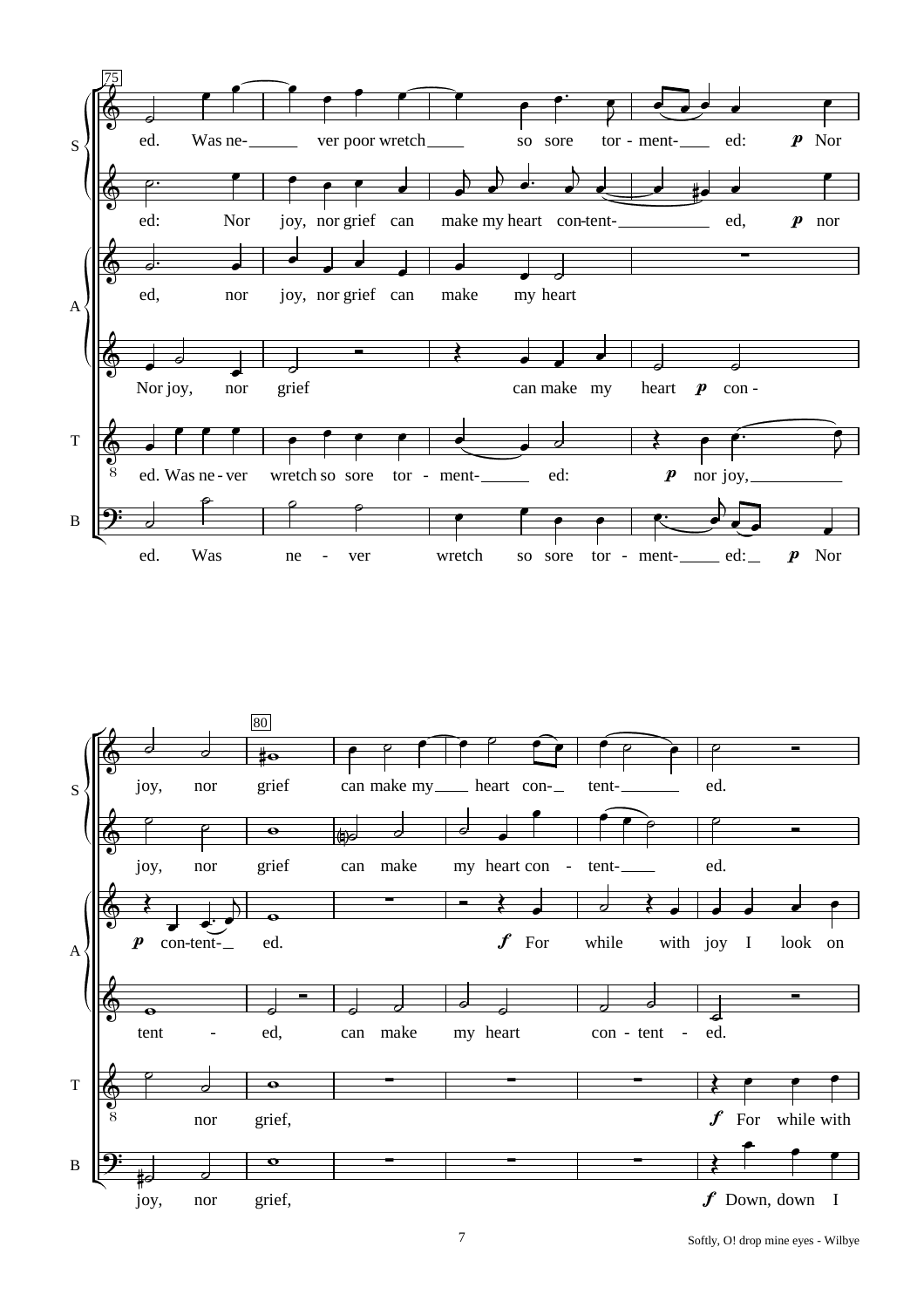

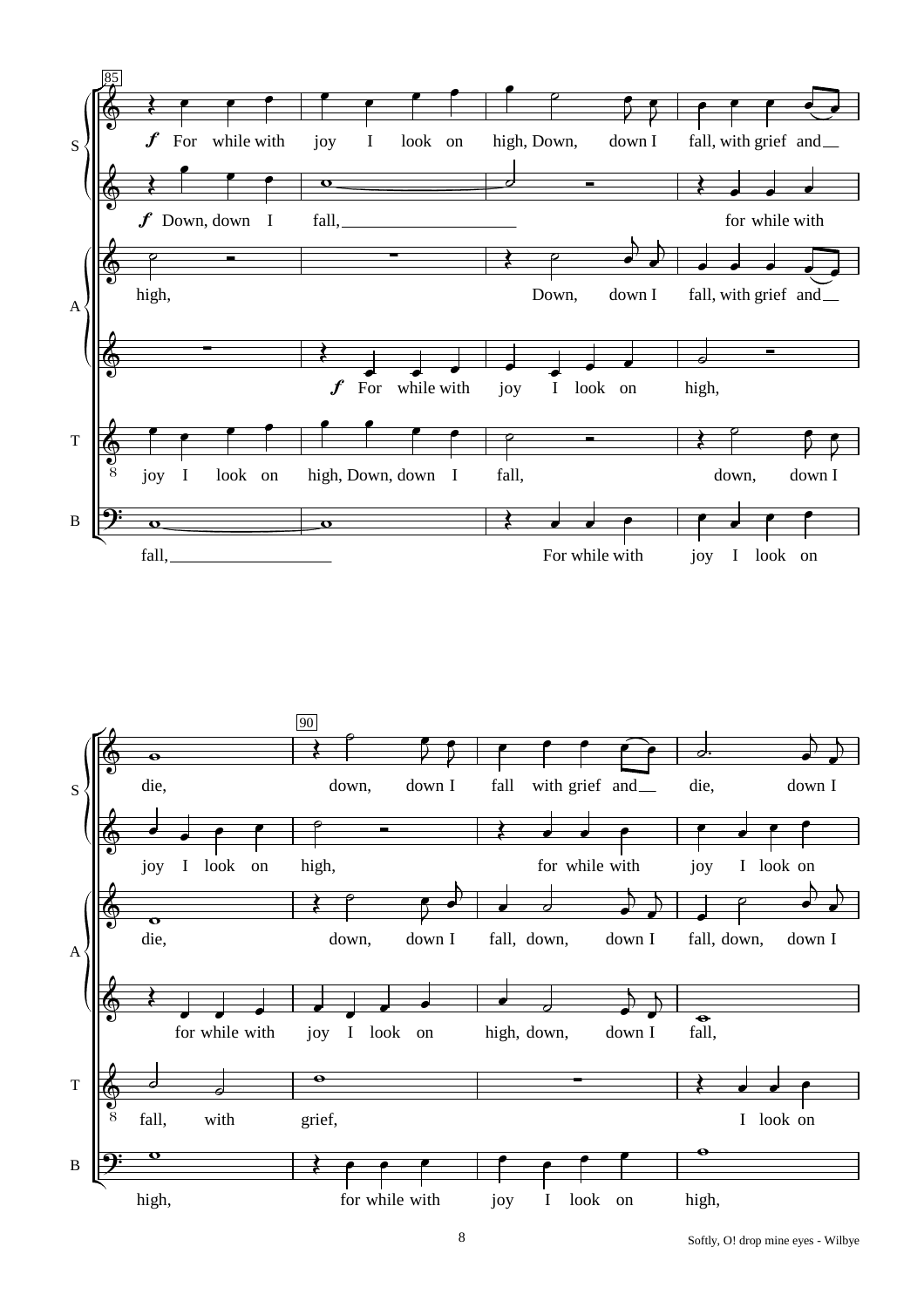

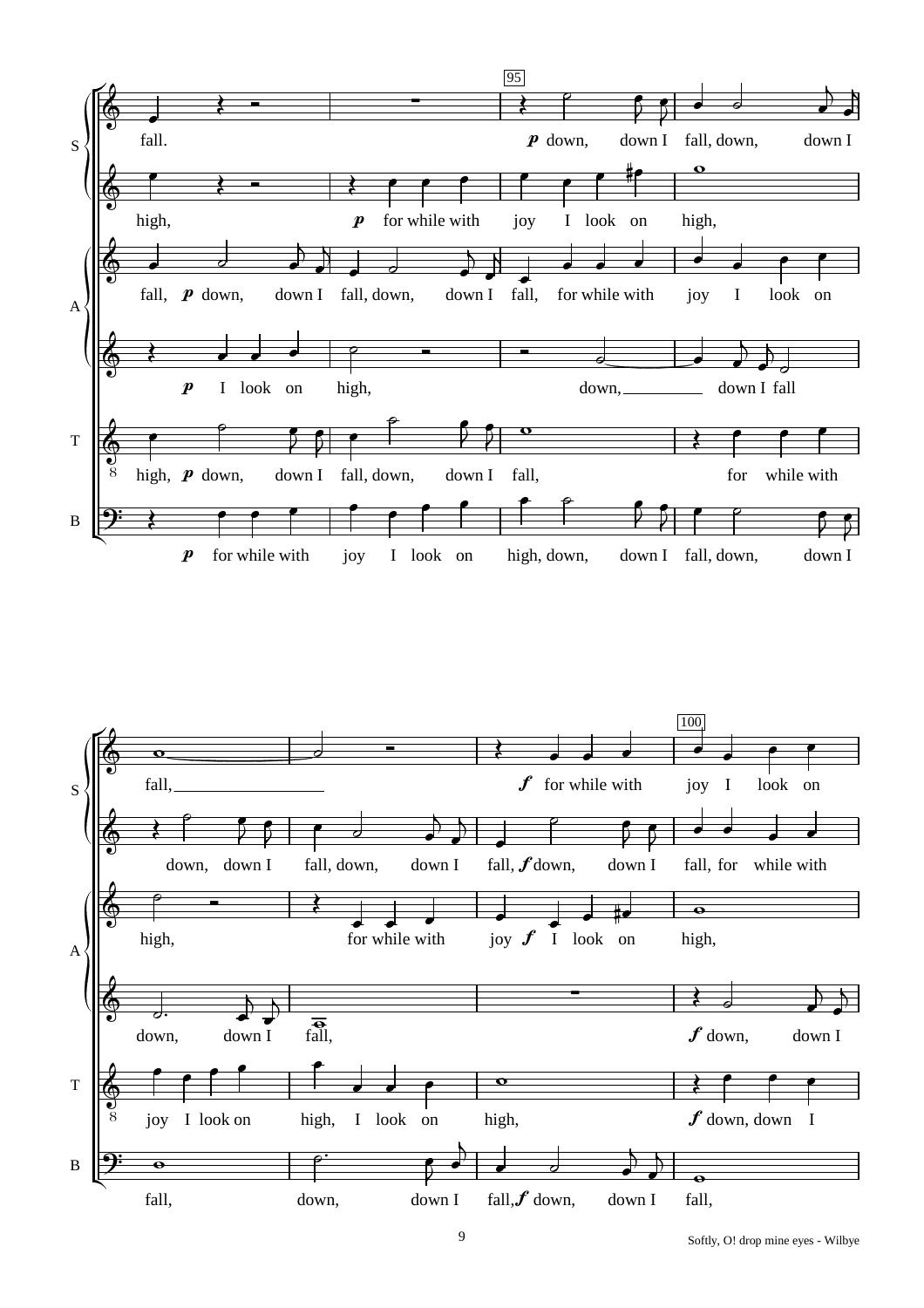